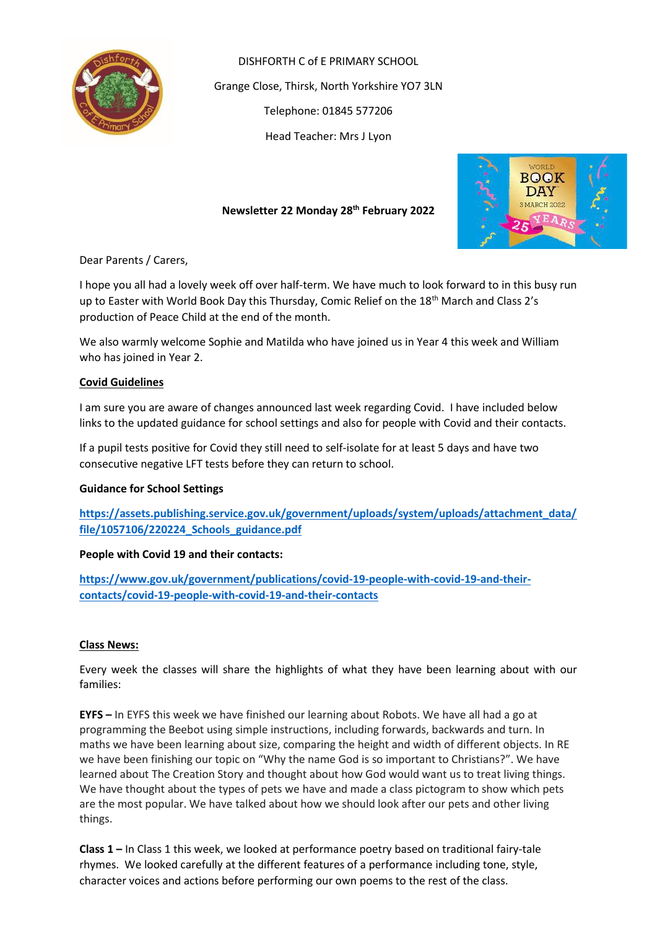

DISHFORTH C of E PRIMARY SCHOOL Grange Close, Thirsk, North Yorkshire YO7 3LN Telephone: 01845 577206 Head Teacher: Mrs J Lyon



# **Newsletter 22 Monday 28th February 2022**

Dear Parents / Carers,

I hope you all had a lovely week off over half-term. We have much to look forward to in this busy run up to Easter with World Book Day this Thursday, Comic Relief on the 18<sup>th</sup> March and Class 2's production of Peace Child at the end of the month.

We also warmly welcome Sophie and Matilda who have joined us in Year 4 this week and William who has joined in Year 2.

# **Covid Guidelines**

I am sure you are aware of changes announced last week regarding Covid. I have included below links to the updated guidance for school settings and also for people with Covid and their contacts.

If a pupil tests positive for Covid they still need to self-isolate for at least 5 days and have two consecutive negative LFT tests before they can return to school.

# **Guidance for School Settings**

**[https://assets.publishing.service.gov.uk/government/uploads/system/uploads/attachment\\_data/](https://assets.publishing.service.gov.uk/government/uploads/system/uploads/attachment_data/file/1057106/220224_Schools_guidance.pdf) [file/1057106/220224\\_Schools\\_guidance.pdf](https://assets.publishing.service.gov.uk/government/uploads/system/uploads/attachment_data/file/1057106/220224_Schools_guidance.pdf)**

# **People with Covid 19 and their contacts:**

**[https://www.gov.uk/government/publications/covid-19-people-with-covid-19-and-their](https://www.gov.uk/government/publications/covid-19-people-with-covid-19-and-their-contacts/covid-19-people-with-covid-19-and-their-contacts)[contacts/covid-19-people-with-covid-19-and-their-contacts](https://www.gov.uk/government/publications/covid-19-people-with-covid-19-and-their-contacts/covid-19-people-with-covid-19-and-their-contacts)**

# **Class News:**

Every week the classes will share the highlights of what they have been learning about with our families:

**EYFS –** In EYFS this week we have finished our learning about Robots. We have all had a go at programming the Beebot using simple instructions, including forwards, backwards and turn. In maths we have been learning about size, comparing the height and width of different objects. In RE we have been finishing our topic on "Why the name God is so important to Christians?". We have learned about The Creation Story and thought about how God would want us to treat living things. We have thought about the types of pets we have and made a class pictogram to show which pets are the most popular. We have talked about how we should look after our pets and other living things.

**Class 1 –** In Class 1 this week, we looked at performance poetry based on traditional fairy-tale rhymes. We looked carefully at the different features of a performance including tone, style, character voices and actions before performing our own poems to the rest of the class.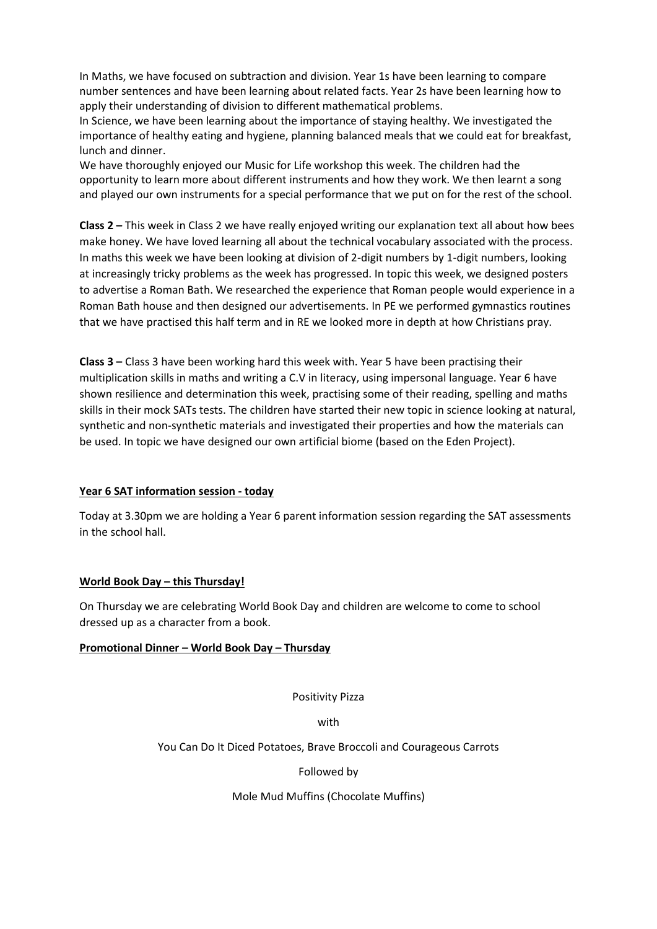In Maths, we have focused on subtraction and division. Year 1s have been learning to compare number sentences and have been learning about related facts. Year 2s have been learning how to apply their understanding of division to different mathematical problems.

In Science, we have been learning about the importance of staying healthy. We investigated the importance of healthy eating and hygiene, planning balanced meals that we could eat for breakfast, lunch and dinner.

We have thoroughly enjoyed our Music for Life workshop this week. The children had the opportunity to learn more about different instruments and how they work. We then learnt a song and played our own instruments for a special performance that we put on for the rest of the school.

**Class 2 –** This week in Class 2 we have really enjoyed writing our explanation text all about how bees make honey. We have loved learning all about the technical vocabulary associated with the process. In maths this week we have been looking at division of 2-digit numbers by 1-digit numbers, looking at increasingly tricky problems as the week has progressed. In topic this week, we designed posters to advertise a Roman Bath. We researched the experience that Roman people would experience in a Roman Bath house and then designed our advertisements. In PE we performed gymnastics routines that we have practised this half term and in RE we looked more in depth at how Christians pray.

**Class 3 –** Class 3 have been working hard this week with. Year 5 have been practising their multiplication skills in maths and writing a C.V in literacy, using impersonal language. Year 6 have shown resilience and determination this week, practising some of their reading, spelling and maths skills in their mock SATs tests. The children have started their new topic in science looking at natural, synthetic and non-synthetic materials and investigated their properties and how the materials can be used. In topic we have designed our own artificial biome (based on the Eden Project).

# **Year 6 SAT information session - today**

Today at 3.30pm we are holding a Year 6 parent information session regarding the SAT assessments in the school hall.

# **World Book Day – this Thursday!**

On Thursday we are celebrating World Book Day and children are welcome to come to school dressed up as a character from a book.

# **Promotional Dinner – World Book Day – Thursday**

Positivity Pizza

with

You Can Do It Diced Potatoes, Brave Broccoli and Courageous Carrots

Followed by

Mole Mud Muffins (Chocolate Muffins)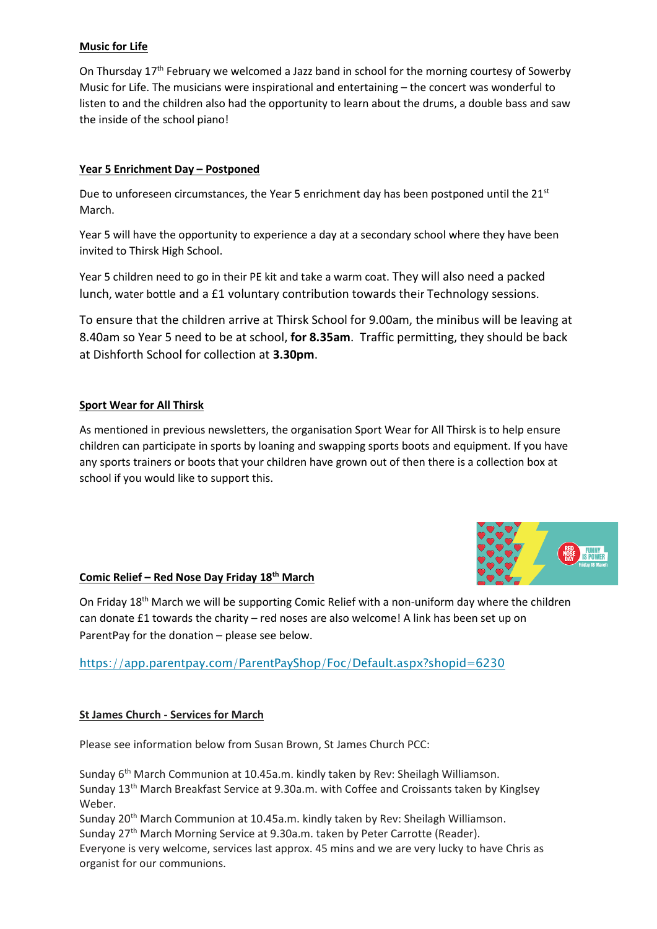# **Music for Life**

On Thursday 17th February we welcomed a Jazz band in school for the morning courtesy of Sowerby Music for Life. The musicians were inspirational and entertaining – the concert was wonderful to listen to and the children also had the opportunity to learn about the drums, a double bass and saw the inside of the school piano!

# **Year 5 Enrichment Day – Postponed**

Due to unforeseen circumstances, the Year 5 enrichment day has been postponed until the  $21^{st}$ March.

Year 5 will have the opportunity to experience a day at a secondary school where they have been invited to Thirsk High School.

Year 5 children need to go in their PE kit and take a warm coat. They will also need a packed lunch, water bottle and a £1 voluntary contribution towards their Technology sessions.

To ensure that the children arrive at Thirsk School for 9.00am, the minibus will be leaving at 8.40am so Year 5 need to be at school, **for 8.35am**. Traffic permitting, they should be back at Dishforth School for collection at **3.30pm**.

# **Sport Wear for All Thirsk**

As mentioned in previous newsletters, the organisation Sport Wear for All Thirsk is to help ensure children can participate in sports by loaning and swapping sports boots and equipment. If you have any sports trainers or boots that your children have grown out of then there is a collection box at school if you would like to support this.



# **Comic Relief – Red Nose Day Friday 18th March**

On Friday 18<sup>th</sup> March we will be supporting Comic Relief with a non-uniform day where the children can donate £1 towards the charity – red noses are also welcome! A link has been set up on ParentPay for the donation – please see below.

<https://app.parentpay.com/ParentPayShop/Foc/Default.aspx?shopid=6230>

# **St James Church - Services for March**

Please see information below from Susan Brown, St James Church PCC:

Sunday 6th March Communion at 10.45a.m. kindly taken by Rev: Sheilagh Williamson. Sunday 13th March Breakfast Service at 9.30a.m. with Coffee and Croissants taken by Kinglsey Weber.

Sunday 20<sup>th</sup> March Communion at 10.45a.m. kindly taken by Rev: Sheilagh Williamson.

Sunday 27<sup>th</sup> March Morning Service at 9.30a.m. taken by Peter Carrotte (Reader).

Everyone is very welcome, services last approx. 45 mins and we are very lucky to have Chris as organist for our communions.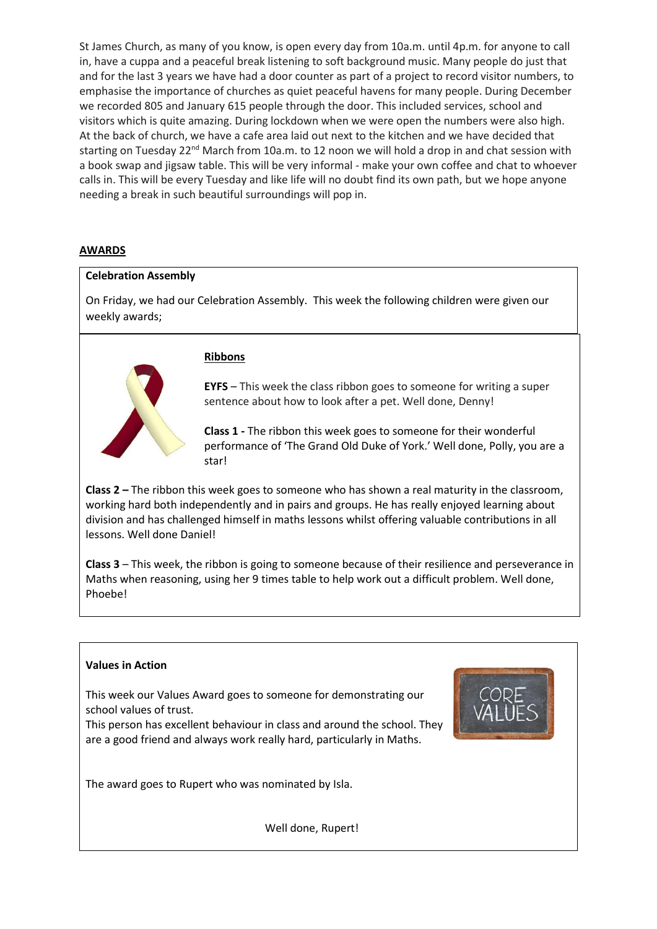St James Church, as many of you know, is open every day from 10a.m. until 4p.m. for anyone to call in, have a cuppa and a peaceful break listening to soft background music. Many people do just that and for the last 3 years we have had a door counter as part of a project to record visitor numbers, to emphasise the importance of churches as quiet peaceful havens for many people. During December we recorded 805 and January 615 people through the door. This included services, school and visitors which is quite amazing. During lockdown when we were open the numbers were also high. At the back of church, we have a cafe area laid out next to the kitchen and we have decided that starting on Tuesday 22<sup>nd</sup> March from 10a.m. to 12 noon we will hold a drop in and chat session with a book swap and jigsaw table. This will be very informal - make your own coffee and chat to whoever calls in. This will be every Tuesday and like life will no doubt find its own path, but we hope anyone needing a break in such beautiful surroundings will pop in.

# **AWARDS**

#### **Celebration Assembly**

On Friday, we had our Celebration Assembly. This week the following children were given our weekly awards;



#### **Ribbons**

**EYFS** – This week the class ribbon goes to someone for writing a super sentence about how to look after a pet. Well done, Denny!

**Class 1 -** The ribbon this week goes to someone for their wonderful performance of 'The Grand Old Duke of York.' Well done, Polly, you are a star!

**Class 2 –** The ribbon this week goes to someone who has shown a real maturity in the classroom, working hard both independently and in pairs and groups. He has really enjoyed learning about division and has challenged himself in maths lessons whilst offering valuable contributions in all lessons. Well done Daniel!

**Class 3** – This week, the ribbon is going to someone because of their resilience and perseverance in Maths when reasoning, using her 9 times table to help work out a difficult problem. Well done, Phoebe!

# **Values in Action**

This week our Values Award goes to someone for demonstrating our school values of trust.

This person has excellent behaviour in class and around the school. They are a good friend and always work really hard, particularly in Maths.



The award goes to Rupert who was nominated by Isla.

Well done, Rupert!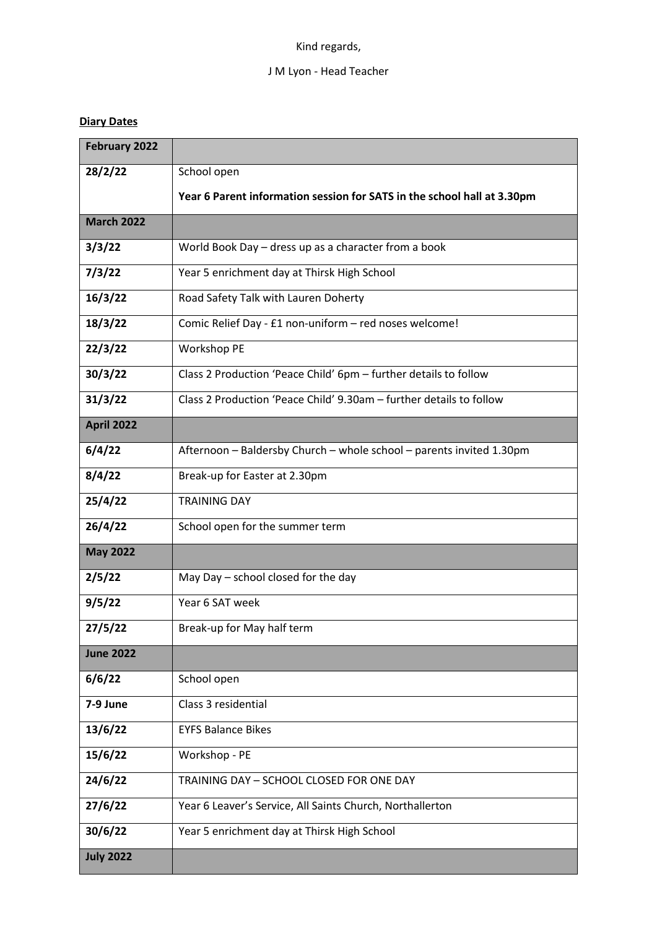# Kind regards,

# J M Lyon - Head Teacher

# **Diary Dates**

| <b>February 2022</b> |                                                                         |  |  |  |  |  |
|----------------------|-------------------------------------------------------------------------|--|--|--|--|--|
| 28/2/22              | School open                                                             |  |  |  |  |  |
|                      | Year 6 Parent information session for SATS in the school hall at 3.30pm |  |  |  |  |  |
| <b>March 2022</b>    |                                                                         |  |  |  |  |  |
| 3/3/22               | World Book Day - dress up as a character from a book                    |  |  |  |  |  |
| 7/3/22               | Year 5 enrichment day at Thirsk High School                             |  |  |  |  |  |
| 16/3/22              | Road Safety Talk with Lauren Doherty                                    |  |  |  |  |  |
| 18/3/22              | Comic Relief Day - £1 non-uniform - red noses welcome!                  |  |  |  |  |  |
| 22/3/22              | Workshop PE                                                             |  |  |  |  |  |
| 30/3/22              | Class 2 Production 'Peace Child' 6pm - further details to follow        |  |  |  |  |  |
| 31/3/22              | Class 2 Production 'Peace Child' 9.30am - further details to follow     |  |  |  |  |  |
| <b>April 2022</b>    |                                                                         |  |  |  |  |  |
| 6/4/22               | Afternoon - Baldersby Church - whole school - parents invited 1.30pm    |  |  |  |  |  |
| 8/4/22               | Break-up for Easter at 2.30pm                                           |  |  |  |  |  |
| 25/4/22              | <b>TRAINING DAY</b>                                                     |  |  |  |  |  |
| 26/4/22              | School open for the summer term                                         |  |  |  |  |  |
| <b>May 2022</b>      |                                                                         |  |  |  |  |  |
| 2/5/22               | May Day - school closed for the day                                     |  |  |  |  |  |
| 9/5/22               | Year 6 SAT week                                                         |  |  |  |  |  |
| 27/5/22              | Break-up for May half term                                              |  |  |  |  |  |
| <b>June 2022</b>     |                                                                         |  |  |  |  |  |
| 6/6/22               | School open                                                             |  |  |  |  |  |
| 7-9 June             | Class 3 residential                                                     |  |  |  |  |  |
| 13/6/22              | <b>EYFS Balance Bikes</b>                                               |  |  |  |  |  |
| 15/6/22              | Workshop - PE                                                           |  |  |  |  |  |
| 24/6/22              | TRAINING DAY - SCHOOL CLOSED FOR ONE DAY                                |  |  |  |  |  |
| 27/6/22              | Year 6 Leaver's Service, All Saints Church, Northallerton               |  |  |  |  |  |
| 30/6/22              | Year 5 enrichment day at Thirsk High School                             |  |  |  |  |  |
| <b>July 2022</b>     |                                                                         |  |  |  |  |  |